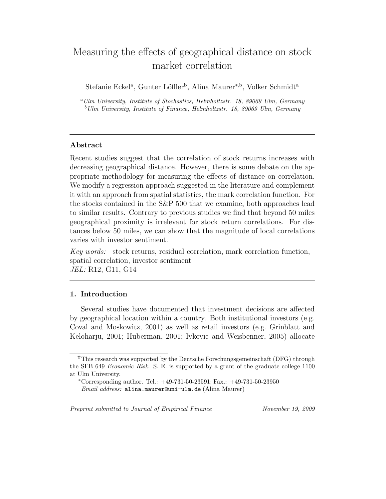# Measuring the effects of geographical distance on stock market correlation

Stefanie Eckel<sup>a</sup>, Gunter Löffler<sup>b</sup>, Alina Maurer<sup>\*,b</sup>, Volker Schmidt<sup>a</sup>

<sup>a</sup>*Ulm University, Institute of Stochastics, Helmholtzstr. 18, 89069 Ulm, Germany* <sup>b</sup>*Ulm University, Institute of Finance, Helmholtzstr. 18, 89069 Ulm, Germany*

## Abstract

Recent studies suggest that the correlation of stock returns increases with decreasing geographical distance. However, there is some debate on the appropriate methodology for measuring the effects of distance on correlation. We modify a regression approach suggested in the literature and complement it with an approach from spatial statistics, the mark correlation function. For the stocks contained in the S&P 500 that we examine, both approaches lead to similar results. Contrary to previous studies we find that beyond 50 miles geographical proximity is irrelevant for stock return correlations. For distances below 50 miles, we can show that the magnitude of local correlations varies with investor sentiment.

*Key words:* stock returns, residual correlation, mark correlation function, spatial correlation, investor sentiment *JEL:* R12, G11, G14

## 1. Introduction

Several studies have documented that investment decisions are affected by geographical location within a country. Both institutional investors (e.g. Coval and Moskowitz, 2001) as well as retail investors (e.g. Grinblatt and Keloharju, 2001; Huberman, 2001; Ivkovic and Weisbenner, 2005) allocate

*Preprint submitted to Journal of Empirical Finance November 19, 2009*

 $\hat{\tau}$ This research was supported by the Deutsche Forschungsgemeinschaft (DFG) through the SFB 649 *Economic Risk*. S. E. is supported by a grant of the graduate college 1100 at Ulm University.

<sup>∗</sup>Corresponding author. Tel.: +49-731-50-23591; Fax.: +49-731-50-23950 *Email address:* alina.maurer@uni-ulm.de (Alina Maurer)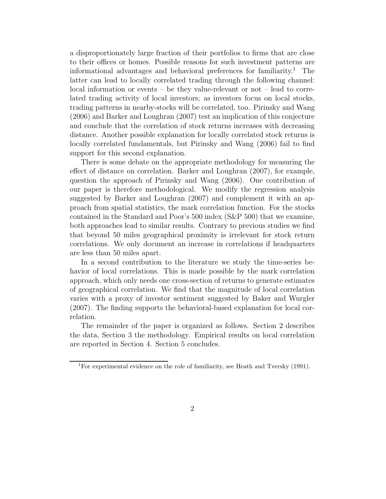a disproportionately large fraction of their portfolios to firms that are close to their offices or homes. Possible reasons for such investment patterns are informational advantages and behavioral preferences for familiarity.<sup>1</sup> The latter can lead to locally correlated trading through the following channel: local information or events – be they value-relevant or not – lead to correlated trading activity of local investors; as investors focus on local stocks, trading patterns in nearby-stocks will be correlated, too. Pirinsky and Wang (2006) and Barker and Loughran (2007) test an implication of this conjecture and conclude that the correlation of stock returns increases with decreasing distance. Another possible explanation for locally correlated stock returns is locally correlated fundamentals, but Pirinsky and Wang (2006) fail to find support for this second explanation.

There is some debate on the appropriate methodology for measuring the effect of distance on correlation. Barker and Loughran (2007), for example, question the approach of Pirinsky and Wang (2006). One contribution of our paper is therefore methodological. We modify the regression analysis suggested by Barker and Loughran (2007) and complement it with an approach from spatial statistics, the mark correlation function. For the stocks contained in the Standard and Poor's 500 index (S&P 500) that we examine, both approaches lead to similar results. Contrary to previous studies we find that beyond 50 miles geographical proximity is irrelevant for stock return correlations. We only document an increase in correlations if headquarters are less than 50 miles apart.

In a second contribution to the literature we study the time-series behavior of local correlations. This is made possible by the mark correlation approach, which only needs one cross-section of returns to generate estimates of geographical correlation. We find that the magnitude of local correlation varies with a proxy of investor sentiment suggested by Baker and Wurgler (2007). The finding supports the behavioral-based explanation for local correlation.

The remainder of the paper is organized as follows. Section 2 describes the data, Section 3 the methodology. Empirical results on local correlation are reported in Section 4. Section 5 concludes.

<sup>1</sup>For experimental evidence on the role of familiarity, see Heath and Tversky (1991).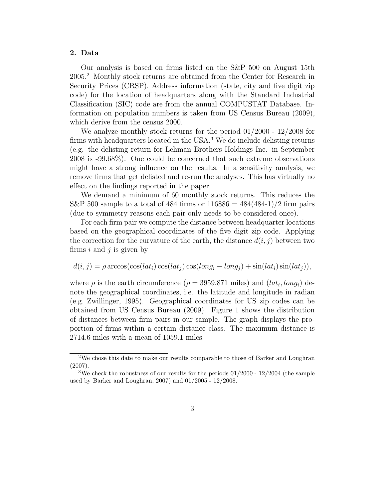## 2. Data

Our analysis is based on firms listed on the S&P 500 on August 15th 2005.<sup>2</sup> Monthly stock returns are obtained from the Center for Research in Security Prices (CRSP). Address information (state, city and five digit zip code) for the location of headquarters along with the Standard Industrial Classification (SIC) code are from the annual COMPUSTAT Database. Information on population numbers is taken from US Census Bureau (2009), which derive from the census 2000.

We analyze monthly stock returns for the period 01/2000 - 12/2008 for firms with headquarters located in the USA.<sup>3</sup> We do include delisting returns (e.g. the delisting return for Lehman Brothers Holdings Inc. in September 2008 is -99.68%). One could be concerned that such extreme observations might have a strong influence on the results. In a sensitivity analysis, we remove firms that get delisted and re-run the analyses. This has virtually no effect on the findings reported in the paper.

We demand a minimum of 60 monthly stock returns. This reduces the S&P 500 sample to a total of 484 firms or  $116886 = 484(484-1)/2$  firm pairs (due to symmetry reasons each pair only needs to be considered once).

For each firm pair we compute the distance between headquarter locations based on the geographical coordinates of the five digit zip code. Applying the correction for the curvature of the earth, the distance  $d(i, j)$  between two firms  $i$  and  $j$  is given by

$$
d(i, j) = \rho \arccos(\cos(lat_i)\cos(lat_j)\cos(long_i - long_j) + \sin(lat_i)\sin(lat_j)),
$$

where  $\rho$  is the earth circumference  $(\rho = 3959.871 \text{ miles})$  and  $(lat_i, long_i)$  denote the geographical coordinates, i.e. the latitude and longitude in radian (e.g. Zwillinger, 1995). Geographical coordinates for US zip codes can be obtained from US Census Bureau (2009). Figure 1 shows the distribution of distances between firm pairs in our sample. The graph displays the proportion of firms within a certain distance class. The maximum distance is 2714.6 miles with a mean of 1059.1 miles.

<sup>2</sup>We chose this date to make our results comparable to those of Barker and Loughran (2007).

<sup>&</sup>lt;sup>3</sup>We check the robustness of our results for the periods  $01/2000 - 12/2004$  (the sample used by Barker and Loughran, 2007) and 01/2005 - 12/2008.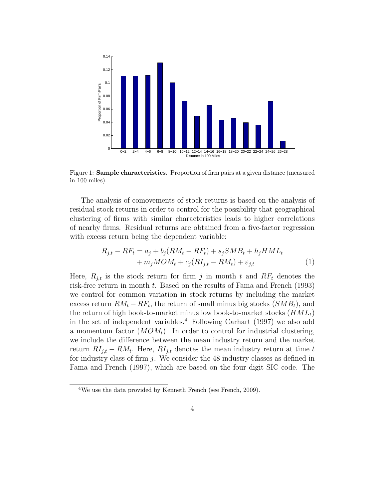

Figure 1: Sample characteristics. Proportion of firm pairs at a given distance (measured in 100 miles).

The analysis of comovements of stock returns is based on the analysis of residual stock returns in order to control for the possibility that geographical clustering of firms with similar characteristics leads to higher correlations of nearby firms. Residual returns are obtained from a five-factor regression with excess return being the dependent variable:

$$
R_{j,t} - RF_t = a_j + b_j(RM_t - RF_t) + s_jSMB_t + h_jHML_t
$$
  
+ 
$$
m_jMOM_t + c_j(RI_{j,t} - RM_t) + \varepsilon_{j,t}
$$
 (1)

Here,  $R_{i,t}$  is the stock return for firm j in month t and  $RF_t$  denotes the risk-free return in month t. Based on the results of Fama and French (1993) we control for common variation in stock returns by including the market excess return  $RM_t - RF_t$ , the return of small minus big stocks  $(SMB_t)$ , and the return of high book-to-market minus low book-to-market stocks  $(HML_t)$ in the set of independent variables.<sup>4</sup> Following Carhart (1997) we also add a momentum factor  $(MOM_t)$ . In order to control for industrial clustering, we include the difference between the mean industry return and the market return  $RI_{j,t} - RM_t$ . Here,  $RI_{j,t}$  denotes the mean industry return at time t for industry class of firm  $j$ . We consider the 48 industry classes as defined in Fama and French (1997), which are based on the four digit SIC code. The

<sup>&</sup>lt;sup>4</sup>We use the data provided by Kenneth French (see French, 2009).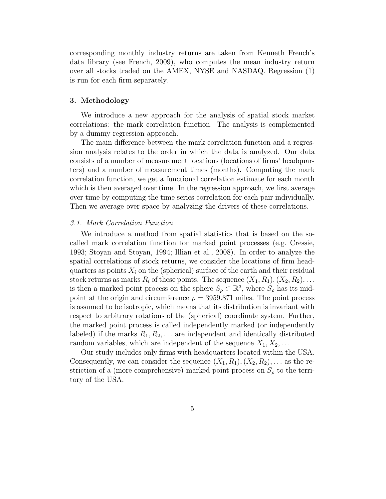corresponding monthly industry returns are taken from Kenneth French's data library (see French, 2009), who computes the mean industry return over all stocks traded on the AMEX, NYSE and NASDAQ. Regression (1) is run for each firm separately.

#### 3. Methodology

We introduce a new approach for the analysis of spatial stock market correlations: the mark correlation function. The analysis is complemented by a dummy regression approach.

The main difference between the mark correlation function and a regression analysis relates to the order in which the data is analyzed. Our data consists of a number of measurement locations (locations of firms' headquarters) and a number of measurement times (months). Computing the mark correlation function, we get a functional correlation estimate for each month which is then averaged over time. In the regression approach, we first average over time by computing the time series correlation for each pair individually. Then we average over space by analyzing the drivers of these correlations.

#### *3.1. Mark Correlation Function*

We introduce a method from spatial statistics that is based on the socalled mark correlation function for marked point processes (e.g. Cressie, 1993; Stoyan and Stoyan, 1994; Illian et al., 2008). In order to analyze the spatial correlations of stock returns, we consider the locations of firm headquarters as points  $X_i$  on the (spherical) surface of the earth and their residual stock returns as marks  $R_i$  of these points. The sequence  $(X_1, R_1), (X_2, R_2), \ldots$ is then a marked point process on the sphere  $S_\rho \subset \mathbb{R}^3$ , where  $S_\rho$  has its midpoint at the origin and circumference  $\rho = 3959.871$  miles. The point process is assumed to be isotropic, which means that its distribution is invariant with respect to arbitrary rotations of the (spherical) coordinate system. Further, the marked point process is called independently marked (or independently labeled) if the marks  $R_1, R_2, \ldots$  are independent and identically distributed random variables, which are independent of the sequence  $X_1, X_2, \ldots$ 

Our study includes only firms with headquarters located within the USA. Consequently, we can consider the sequence  $(X_1, R_1), (X_2, R_2), \ldots$  as the restriction of a (more comprehensive) marked point process on  $S_{\rho}$  to the territory of the USA.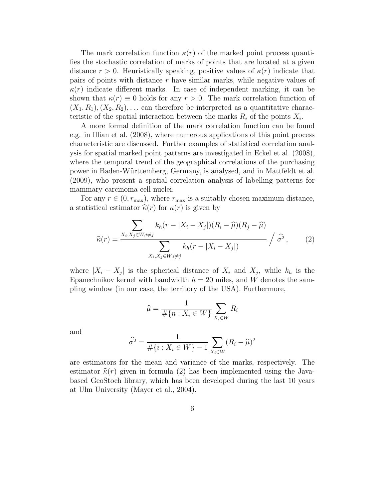The mark correlation function  $\kappa(r)$  of the marked point process quantifies the stochastic correlation of marks of points that are located at a given distance  $r > 0$ . Heuristically speaking, positive values of  $\kappa(r)$  indicate that pairs of points with distance  $r$  have similar marks, while negative values of  $\kappa(r)$  indicate different marks. In case of independent marking, it can be shown that  $\kappa(r) \equiv 0$  holds for any  $r > 0$ . The mark correlation function of  $(X_1, R_1), (X_2, R_2), \ldots$  can therefore be interpreted as a quantitative characteristic of the spatial interaction between the marks  $R_i$  of the points  $X_i$ .

A more formal definition of the mark correlation function can be found e.g. in Illian et al. (2008), where numerous applications of this point process characteristic are discussed. Further examples of statistical correlation analysis for spatial marked point patterns are investigated in Eckel et al. (2008), where the temporal trend of the geographical correlations of the purchasing power in Baden-W¨urttemberg, Germany, is analysed, and in Mattfeldt et al. (2009), who present a spatial correlation analysis of labelling patterns for mammary carcinoma cell nuclei.

For any  $r \in (0, r_{\text{max}})$ , where  $r_{\text{max}}$  is a suitably chosen maximum distance, a statistical estimator  $\hat{\kappa}(r)$  for  $\kappa(r)$  is given by

$$
\widehat{\kappa}(r) = \frac{\sum_{X_i, X_j \in W, i \neq j} k_h(r - |X_i - X_j|)(R_i - \widehat{\mu})(R_j - \widehat{\mu})}{\sum_{X_i, X_j \in W, i \neq j} k_h(r - |X_i - X_j|)} / \widehat{\sigma}^2, \qquad (2)
$$

where  $|X_i - X_j|$  is the spherical distance of  $X_i$  and  $X_j$ , while  $k_h$  is the Epanechnikov kernel with bandwidth  $h = 20$  miles, and W denotes the sampling window (in our case, the territory of the USA). Furthermore,

$$
\widehat{\mu} = \frac{1}{\#\{n : X_i \in W\}} \sum_{X_i \in W} R_i
$$

and

$$
\hat{\sigma}^2 = \frac{1}{\#\{i : X_i \in W\} - 1} \sum_{X_i \in W} (R_i - \hat{\mu})^2
$$

are estimators for the mean and variance of the marks, respectively. The estimator  $\hat{\kappa}(r)$  given in formula (2) has been implemented using the Javabased GeoStoch library, which has been developed during the last 10 years at Ulm University (Mayer et al., 2004).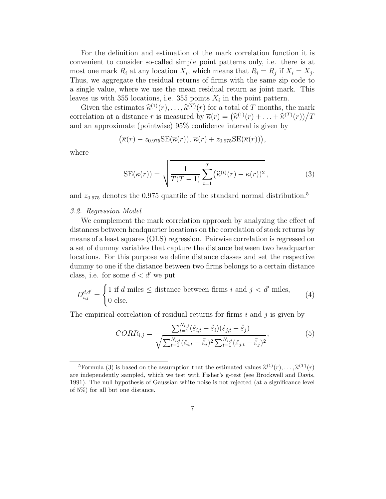For the definition and estimation of the mark correlation function it is convenient to consider so-called simple point patterns only, i.e. there is at most one mark  $R_i$  at any location  $X_i$ , which means that  $R_i = R_j$  if  $X_i = X_j$ . Thus, we aggregate the residual returns of firms with the same zip code to a single value, where we use the mean residual return as joint mark. This leaves us with 355 locations, i.e. 355 points  $X_i$  in the point pattern.

Given the estimates  $\hat{\kappa}^{(1)}(r), \ldots, \hat{\kappa}^{(T)}(r)$  for a total of T months, the mark correlation at a distance r is measured by  $\overline{\kappa}(r) = (\widehat{\kappa}^{(1)}(r) + \ldots + \widehat{\kappa}^{(T)}(r))/T$ and an approximate (pointwise) 95% confidence interval is given by

$$
(\overline{\kappa}(r) - z_{0.975} \text{SE}(\overline{\kappa}(r)), \overline{\kappa}(r) + z_{0.975} \text{SE}(\overline{\kappa}(r))),
$$

where

SE(
$$
\overline{\kappa}(r)
$$
) =  $\sqrt{\frac{1}{T(T-1)} \sum_{t=1}^{T} (\widehat{\kappa}^{(t)}(r) - \overline{\kappa}(r))^2}$ , (3)

and  $z_{0.975}$  denotes the 0.975 quantile of the standard normal distribution.<sup>5</sup>

#### *3.2. Regression Model*

We complement the mark correlation approach by analyzing the effect of distances between headquarter locations on the correlation of stock returns by means of a least squares (OLS) regression. Pairwise correlation is regressed on a set of dummy variables that capture the distance between two headquarter locations. For this purpose we define distance classes and set the respective dummy to one if the distance between two firms belongs to a certain distance class, i.e. for some  $d < d'$  we put

$$
D_{i,j}^{d,d'} = \begin{cases} 1 \text{ if } d \text{ miles} \le \text{distance between firms } i \text{ and } j < d' \text{ miles,} \\ 0 \text{ else.} \end{cases} \tag{4}
$$

The empirical correlation of residual returns for firms  $i$  and  $j$  is given by

$$
CORR_{i,j} = \frac{\sum_{t=1}^{N_{i,j}} (\hat{\varepsilon}_{i,t} - \bar{\hat{\varepsilon}}_i)(\hat{\varepsilon}_{j,t} - \bar{\hat{\varepsilon}}_j)}{\sqrt{\sum_{t=1}^{N_{i,j}} (\hat{\varepsilon}_{i,t} - \bar{\hat{\varepsilon}}_i)^2 \sum_{t=1}^{N_{i,j}} (\hat{\varepsilon}_{j,t} - \bar{\hat{\varepsilon}}_j)^2}},
$$
(5)

<sup>&</sup>lt;sup>5</sup>Formula (3) is based on the assumption that the estimated values  $\hat{\kappa}^{(1)}(r), \ldots, \hat{\kappa}^{(T)}(r)$ are independently sampled, which we test with Fisher's g-test (see Brockwell and Davis, 1991). The null hypothesis of Gaussian white noise is not rejected (at a significance level of 5%) for all but one distance.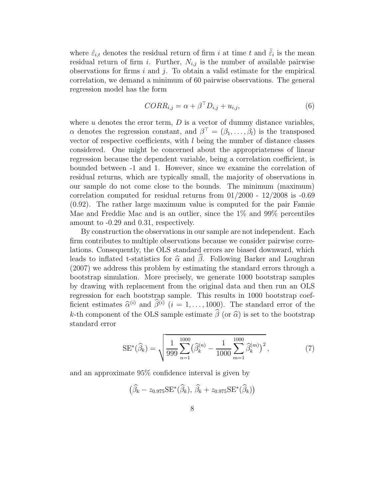where  $\hat{\varepsilon}_{i,t}$  denotes the residual return of firm i at time t and  $\bar{\hat{\varepsilon}}_i$  is the mean residual return of firm i. Further,  $N_{i,j}$  is the number of available pairwise observations for firms  $i$  and  $j$ . To obtain a valid estimate for the empirical correlation, we demand a minimum of 60 pairwise observations. The general regression model has the form

$$
CORR_{i,j} = \alpha + \beta^{\top} D_{i,j} + u_{i,j},\tag{6}
$$

where  $u$  denotes the error term,  $D$  is a vector of dummy distance variables,  $\alpha$  denotes the regression constant, and  $\beta^{\top} = (\beta_1, \dots, \beta_l)$  is the transposed vector of respective coefficients, with l being the number of distance classes considered. One might be concerned about the appropriateness of linear regression because the dependent variable, being a correlation coefficient, is bounded between -1 and 1. However, since we examine the correlation of residual returns, which are typically small, the majority of observations in our sample do not come close to the bounds. The minimum (maximum) correlation computed for residual returns from  $01/2000$  -  $12/2008$  is  $-0.69$ (0.92). The rather large maximum value is computed for the pair Fannie Mae and Freddie Mac and is an outlier, since the 1% and 99% percentiles amount to -0.29 and 0.31, respectively.

By construction the observations in our sample are not independent. Each firm contributes to multiple observations because we consider pairwise correlations. Consequently, the OLS standard errors are biased downward, which leads to inflated t-statistics for  $\hat{\alpha}$  and  $\hat{\beta}$ . Following Barker and Loughran (2007) we address this problem by estimating the standard errors through a bootstrap simulation. More precisely, we generate 1000 bootstrap samples by drawing with replacement from the original data and then run an OLS regression for each bootstrap sample. This results in 1000 bootstrap coefficient estimates  $\hat{\alpha}^{(i)}$  and  $\hat{\beta}^{(i)}$  ( $i = 1, ..., 1000$ ). The standard error of the k-th component of the OLS sample estimate  $\hat{\beta}$  (or  $\hat{\alpha}$ ) is set to the bootstrap standard error

$$
SE^*(\widehat{\beta}_k) = \sqrt{\frac{1}{999} \sum_{n=1}^{1000} (\widehat{\beta}_k^{(n)} - \frac{1}{1000} \sum_{m=1}^{1000} \widehat{\beta}_k^{(m)})^2},
$$
(7)

and an approximate 95% confidence interval is given by

$$
(\widehat{\beta}_k - z_{0.975} \text{SE}^*(\widehat{\beta}_k), \widehat{\beta}_k + z_{0.975} \text{SE}^*(\widehat{\beta}_k))
$$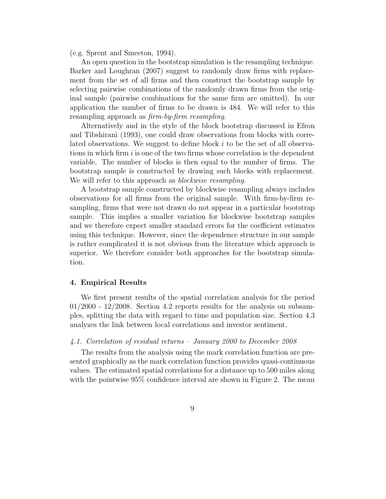(e.g. Sprent and Smeeton, 1994).

An open question in the bootstrap simulation is the resampling technique. Barker and Loughran (2007) suggest to randomly draw firms with replacement from the set of all firms and then construct the bootstrap sample by selecting pairwise combinations of the randomly drawn firms from the original sample (pairwise combinations for the same firm are omitted). In our application the number of firms to be drawn is 484. We will refer to this resampling approach as *firm-by-firm resampling*.

Alternatively and in the style of the block bootstrap discussed in Efron and Tibshirani (1993), one could draw observations from blocks with correlated observations. We suggest to define block i to be the set of all observations in which firm  $i$  is one of the two firms whose correlation is the dependent variable. The number of blocks is then equal to the number of firms. The bootstrap sample is constructed by drawing such blocks with replacement. We will refer to this approach as *blockwise resampling*.

A bootstrap sample constructed by blockwise resampling always includes observations for all firms from the original sample. With firm-by-firm resampling, firms that were not drawn do not appear in a particular bootstrap sample. This implies a smaller variation for blockwise bootstrap samples and we therefore expect smaller standard errors for the coefficient estimates using this technique. However, since the dependence structure in our sample is rather complicated it is not obvious from the literature which approach is superior. We therefore consider both approaches for the bootstrap simulation.

#### 4. Empirical Results

We first present results of the spatial correlation analysis for the period  $01/2000$  -  $12/2008$ . Section 4.2 reports results for the analysis on subsamples, splitting the data with regard to time and population size. Section 4.3 analyzes the link between local correlations and investor sentiment.

## *4.1. Correlation of residual returns – January 2000 to December 2008*

The results from the analysis using the mark correlation function are presented graphically as the mark correlation function provides quasi-continuous values. The estimated spatial correlations for a distance up to 500 miles along with the pointwise  $95\%$  confidence interval are shown in Figure 2. The mean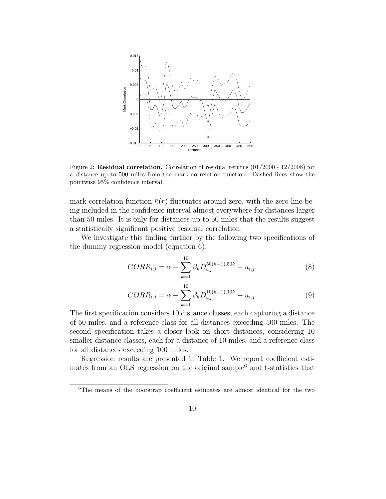

Figure 2: Residual correlation. Correlation of residual returns  $(01/2000 - 12/2008)$  for a distance up to 500 miles from the mark correlation function. Dashed lines show the pointwise 95% confidence interval.

mark correlation function  $\bar{\kappa}(r)$  fluctuates around zero, with the zero line being included in the confidence interval almost everywhere for distances larger than 50 miles. It is only for distances up to 50 miles that the results suggest a statistically significant positive residual correlation.

We investigate this finding further by the following two specifications of the dummy regression model (equation 6):

$$
CORR_{i,j} = \alpha + \sum_{k=1}^{10} \beta_k D_{i,j}^{50(k-1),50k} + u_{i,j}.
$$
 (8)

$$
CORR_{i,j} = \alpha + \sum_{k=1}^{10} \beta_k D_{i,j}^{10(k-1),10k} + u_{i,j}.
$$
 (9)

The first specification considers 10 distance classes, each capturing a distance of 50 miles, and a reference class for all distances exceeding 500 miles. The second specification takes a closer look on short distances, considering 10 smaller distance classes, each for a distance of 10 miles, and a reference class for all distances exceeding 100 miles.

Regression results are presented in Table 1. We report coefficient estimates from an OLS regression on the original sample $6$  and t-statistics that

<sup>6</sup>The means of the bootstrap coefficient estimates are almost identical for the two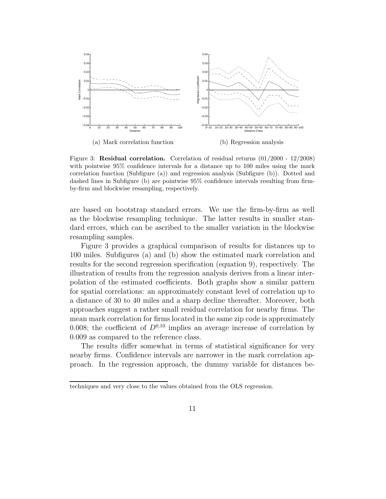

Figure 3: Residual correlation. Correlation of residual returns (01/2000 - 12/2008) with pointwise 95% confidence intervals for a distance up to 100 miles using the mark correlation function (Subfigure (a)) and regression analysis (Subfigure (b)). Dotted and dashed lines in Subfigure (b) are pointwise 95% confidence intervals resulting from firmby-firm and blockwise resampling, respectively.

are based on bootstrap standard errors. We use the firm-by-firm as well as the blockwise resampling technique. The latter results in smaller standard errors, which can be ascribed to the smaller variation in the blockwise resampling samples.

Figure 3 provides a graphical comparison of results for distances up to 100 miles. Subfigures (a) and (b) show the estimated mark correlation and results for the second regression specification (equation 9), respectively. The illustration of results from the regression analysis derives from a linear interpolation of the estimated coefficients. Both graphs show a similar pattern for spatial correlations: an approximately constant level of correlation up to a distance of 30 to 40 miles and a sharp decline thereafter. Moreover, both approaches suggest a rather small residual correlation for nearby firms. The mean mark correlation for firms located in the same zip code is approximately 0.008; the coefficient of  $D^{0,10}$  implies an average increase of correlation by 0.009 as compared to the reference class.

The results differ somewhat in terms of statistical significance for very nearby firms. Confidence intervals are narrower in the mark correlation approach. In the regression approach, the dummy variable for distances be-

techniques and very close to the values obtained from the OLS regression.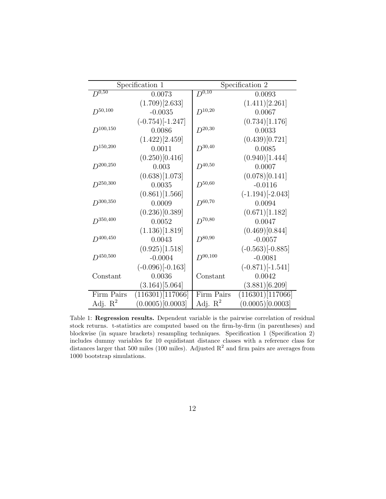| Specification 1 |                               | Specification 2 |                               |
|-----------------|-------------------------------|-----------------|-------------------------------|
| $D^{0,50}$      | 0.0073                        | $D^{0,10}$      | 0.0093                        |
|                 | (1.709)[2.633]                |                 | (1.411)[2.261]                |
| $D^{50,100}$    | $-0.0035$                     | $D^{10,20}$     | 0.0067                        |
|                 | $(-0.754)$ [-1.247]           |                 | (0.734)[1.176]                |
| $D^{100,150}$   | 0.0086                        | $D^{20,30}$     | 0.0033                        |
|                 | (1.422)[2.459]                |                 | (0.439)[0.721]                |
| $D^{150,200}$   | 0.0011                        | $D^{30,40}$     | 0.0085                        |
|                 | (0.250)[0.416]                |                 | (0.940)[1.444]                |
| $D^{200,250}$   | 0.003                         | $D^{40,50}$     | 0.0007                        |
|                 | (0.638)[1.073]                |                 | (0.078)[0.141]                |
| $D^{250,300}$   | 0.0035                        | $D^{50,60}$     | $-0.0116$                     |
|                 | (0.861)[1.566]                |                 | $(-1.194)$ [-2.043]           |
| $D^{300,350}$   | 0.0009                        | $D^{60,70}$     | 0.0094                        |
|                 | (0.236)[0.389]                |                 | (0.671)[1.182]                |
| $D^{350,400}$   | 0.0052                        | $D^{70,80}$     | 0.0047                        |
|                 | (1.136)[1.819]                |                 | (0.469)[0.844]                |
| $D^{400,450}$   | 0.0043                        | $D^{80,90}$     | $-0.0057$                     |
|                 | (0.925)[1.518]                |                 | $(-0.563)$ [-0.885]           |
| $D^{450,500}$   | $-0.0004$                     | $D^{90,100}$    | $-0.0081$                     |
|                 | $(-0.096)$ [-0.163]           |                 | $(-0.871)$ [-1.541]           |
| Constant        | 0.0036                        | Constant        | 0.0042                        |
|                 | $(3.164)$ [5.064]             |                 | (3.881)[6.209]                |
| Firm Pairs      | $\overline{(11}6301)[117066]$ | Firm Pairs      | $\overline{(11}6301)[117066]$ |
| Adj. $R^2$      | (0.0005)[0.0003]              | Adj. $R^2$      | (0.0005)[0.0003]              |

Table 1: Regression results. Dependent variable is the pairwise correlation of residual stock returns. t-statistics are computed based on the firm-by-firm (in parentheses) and blockwise (in square brackets) resampling techniques. Specification 1 (Specification 2) includes dummy variables for 10 equidistant distance classes with a reference class for distances larger that 500 miles (100 miles). Adjusted  $R^2$  and firm pairs are averages from 1000 bootstrap simulations.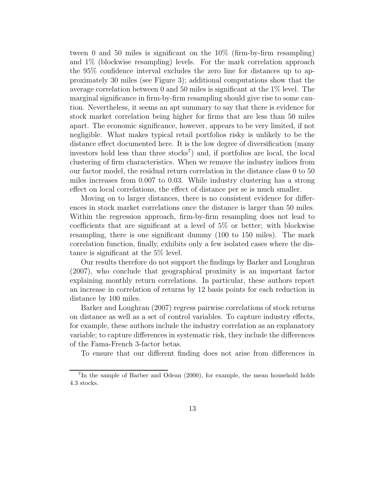tween 0 and 50 miles is significant on the 10% (firm-by-firm resampling) and 1% (blockwise resampling) levels. For the mark correlation approach the 95% confidence interval excludes the zero line for distances up to approximately 30 miles (see Figure 3); additional computations show that the average correlation between 0 and 50 miles is significant at the 1% level. The marginal significance in firm-by-firm resampling should give rise to some caution. Nevertheless, it seems an apt summary to say that there is evidence for stock market correlation being higher for firms that are less than 50 miles apart. The economic significance, however, appears to be very limited, if not negligible. What makes typical retail portfolios risky is unlikely to be the distance effect documented here. It is the low degree of diversification (many investors hold less than three  $\text{stocks}^7$  and, if portfolios are local, the local clustering of firm characteristics. When we remove the industry indices from our factor model, the residual return correlation in the distance class 0 to 50 miles increases from 0.007 to 0.03. While industry clustering has a strong effect on local correlations, the effect of distance per se is much smaller.

Moving on to larger distances, there is no consistent evidence for differences in stock market correlations once the distance is larger than 50 miles. Within the regression approach, firm-by-firm resampling does not lead to coefficients that are significant at a level of 5% or better; with blockwise resampling, there is one significant dummy (100 to 150 miles). The mark correlation function, finally, exhibits only a few isolated cases where the distance is significant at the 5% level.

Our results therefore do not support the findings by Barker and Loughran (2007), who conclude that geographical proximity is an important factor explaining monthly return correlations. In particular, these authors report an increase in correlation of returns by 12 basis points for each reduction in distance by 100 miles.

Barker and Loughran (2007) regress pairwise correlations of stock returns on distance as well as a set of control variables. To capture industry effects, for example, these authors include the industry correlation as an explanatory variable; to capture differences in systematic risk, they include the differences of the Fama-French 3-factor betas.

To ensure that our different finding does not arise from differences in

<sup>7</sup> In the sample of Barber and Odean (2000), for example, the mean household holds 4.3 stocks.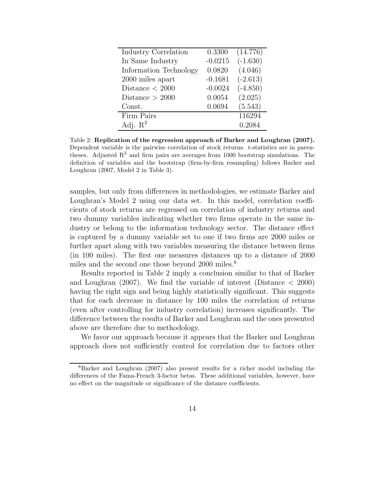| Industry Correlation   | 0.3300    | (14.776)   |
|------------------------|-----------|------------|
| In Same Industry       | $-0.0215$ | $(-1.630)$ |
| Information Technology | 0.0820    | (4.046)    |
| 2000 miles apart       | $-0.1681$ | $(-2.613)$ |
| Distance $<$ 2000      | $-0.0024$ | $(-4.850)$ |
| Distance $>2000$       | 0.0054    | (2.025)    |
| Const.                 | 0.0694    | (5.543)    |
| Firm Pairs             |           | 116294     |
| Adj. $R^2$             |           | 0.2084     |

Table 2: Replication of the regression approach of Barker and Loughran (2007). Dependent variable is the pairwise correlation of stock returns. t-statistics are in parentheses. Adjusted  $R^2$  and firm pairs are averages from 1000 bootstrap simulations. The definition of variables and the bootstrap (firm-by-firm resampling) follows Barker and Loughran (2007, Model 2 in Table 3).

samples, but only from differences in methodologies, we estimate Barker and Loughran's Model 2 using our data set. In this model, correlation coefficients of stock returns are regressed on correlation of industry returns and two dummy variables indicating whether two firms operate in the same industry or belong to the information technology sector. The distance effect is captured by a dummy variable set to one if two firms are 2000 miles or further apart along with two variables measuring the distance between firms (in 100 miles). The first one measures distances up to a distance of 2000 miles and the second one those beyond 2000 miles.<sup>8</sup>

Results reported in Table 2 imply a conclusion similar to that of Barker and Loughran (2007). We find the variable of interest (Distance  $\lt$  2000) having the right sign and being highly statistically significant. This suggests that for each decrease in distance by 100 miles the correlation of returns (even after controlling for industry correlation) increases significantly. The difference between the results of Barker and Loughran and the ones presented above are therefore due to methodology.

We favor our approach because it appears that the Barker and Loughran approach does not sufficiently control for correlation due to factors other

<sup>8</sup>Barker and Loughran (2007) also present results for a richer model including the differences of the Fama-French 3-factor betas. These additional variables, however, have no effect on the magnitude or significance of the distance coefficients.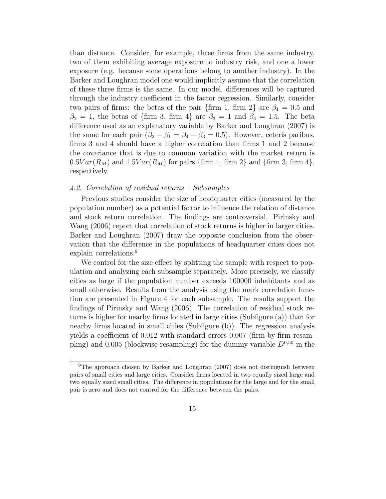than distance. Consider, for example, three firms from the same industry, two of them exhibiting average exposure to industry risk, and one a lower exposure (e.g. because some operations belong to another industry). In the Barker and Loughran model one would implicitly assume that the correlation of these three firms is the same. In our model, differences will be captured through the industry coefficient in the factor regression. Similarly, consider two pairs of firms: the betas of the pair {firm 1, firm 2} are  $\beta_1 = 0.5$  and  $\beta_2 = 1$ , the betas of {firm 3, firm 4} are  $\beta_3 = 1$  and  $\beta_4 = 1.5$ . The beta difference used as an explanatory variable by Barker and Loughran (2007) is the same for each pair  $(\beta_2 - \beta_1 = \beta_4 - \beta_3 = 0.5)$ . However, ceteris paribus, firms 3 and 4 should have a higher correlation than firms 1 and 2 because the covariance that is due to common variation with the market return is  $0.5Var(R_M)$  and  $1.5Var(R_M)$  for pairs {firm 1, firm 2} and {firm 3, firm 4}, respectively.

#### *4.2. Correlation of residual returns – Subsamples*

Previous studies consider the size of headquarter cities (measured by the population number) as a potential factor to influence the relation of distance and stock return correlation. The findings are controversial. Pirinsky and Wang (2006) report that correlation of stock returns is higher in larger cities. Barker and Loughran (2007) draw the opposite conclusion from the observation that the difference in the populations of headquarter cities does not explain correlations.<sup>9</sup>

We control for the size effect by splitting the sample with respect to population and analyzing each subsample separately. More precisely, we classify cities as large if the population number exceeds 100000 inhabitants and as small otherwise. Results from the analysis using the mark correlation function are presented in Figure 4 for each subsample. The results support the findings of Pirinsky and Wang (2006). The correlation of residual stock returns is higher for nearby firms located in large cities (Subfigure (a)) than for nearby firms located in small cities (Subfigure (b)). The regression analysis yields a coefficient of 0.012 with standard errors 0.007 (firm-by-firm resampling) and 0.005 (blockwise resampling) for the dummy variable  $D^{0,50}$  in the

<sup>&</sup>lt;sup>9</sup>The approach chosen by Barker and Loughran (2007) does not distinguish between pairs of small cities and large cities. Consider firms located in two equally sized large and two equally sized small cities. The difference in populations for the large and for the small pair is zero and does not control for the difference between the pairs.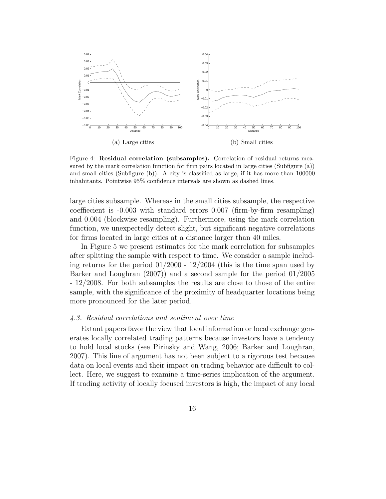

Figure 4: Residual correlation (subsamples). Correlation of residual returns measured by the mark correlation function for firm pairs located in large cities (Subfigure (a)) and small cities (Subfigure (b)). A city is classified as large, if it has more than 100000 inhabitants. Pointwise 95% confidence intervals are shown as dashed lines.

large cities subsample. Whereas in the small cities subsample, the respective coeffiecient is -0.003 with standard errors 0.007 (firm-by-firm resampling) and 0.004 (blockwise resampling). Furthermore, using the mark correlation function, we unexpectedly detect slight, but significant negative correlations for firms located in large cities at a distance larger than 40 miles.

In Figure 5 we present estimates for the mark correlation for subsamples after splitting the sample with respect to time. We consider a sample including returns for the period  $01/2000 - 12/2004$  (this is the time span used by Barker and Loughran (2007)) and a second sample for the period 01/2005 - 12/2008. For both subsamples the results are close to those of the entire sample, with the significance of the proximity of headquarter locations being more pronounced for the later period.

## *4.3. Residual correlations and sentiment over time*

Extant papers favor the view that local information or local exchange generates locally correlated trading patterns because investors have a tendency to hold local stocks (see Pirinsky and Wang, 2006; Barker and Loughran, 2007). This line of argument has not been subject to a rigorous test because data on local events and their impact on trading behavior are difficult to collect. Here, we suggest to examine a time-series implication of the argument. If trading activity of locally focused investors is high, the impact of any local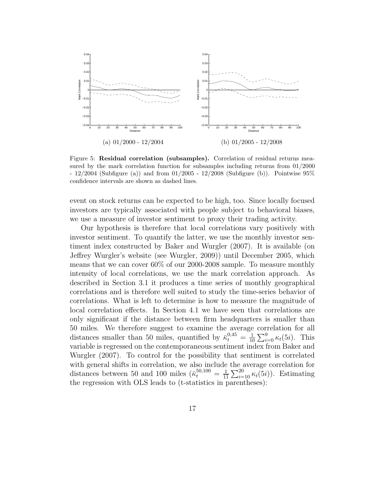

Figure 5: Residual correlation (subsamples). Correlation of residual returns measured by the mark correlation function for subsamples including returns from 01/2000 - 12/2004 (Subfigure (a)) and from 01/2005 - 12/2008 (Subfigure (b)). Pointwise 95% confidence intervals are shown as dashed lines.

event on stock returns can be expected to be high, too. Since locally focused investors are typically associated with people subject to behavioral biases, we use a measure of investor sentiment to proxy their trading activity.

Our hypothesis is therefore that local correlations vary positively with investor sentiment. To quantify the latter, we use the monthly investor sentiment index constructed by Baker and Wurgler (2007). It is available (on Jeffrey Wurgler's website (see Wurgler, 2009)) until December 2005, which means that we can cover 60% of our 2000-2008 sample. To measure monthly intensity of local correlations, we use the mark correlation approach. As described in Section 3.1 it produces a time series of monthly geographical correlations and is therefore well suited to study the time-series behavior of correlations. What is left to determine is how to measure the magnitude of local correlation effects. In Section 4.1 we have seen that correlations are only significant if the distance between firm headquarters is smaller than 50 miles. We therefore suggest to examine the average correlation for all distances smaller than 50 miles, quantified by  $\bar{\kappa}_t^{0,45} = \frac{1}{10}$  $\frac{1}{10} \sum_{i=0}^{9} \kappa_t(5i)$ . This variable is regressed on the contemporaneous sentiment index from Baker and Wurgler (2007). To control for the possibility that sentiment is correlated with general shifts in correlation, we also include the average correlation for distances between 50 and 100 miles  $(\bar{k}_t^{50,100} = \frac{1}{11})$  $\frac{1}{11} \sum_{i=10}^{20} \kappa_t(5i)$ . Estimating the regression with OLS leads to (t-statistics in parentheses):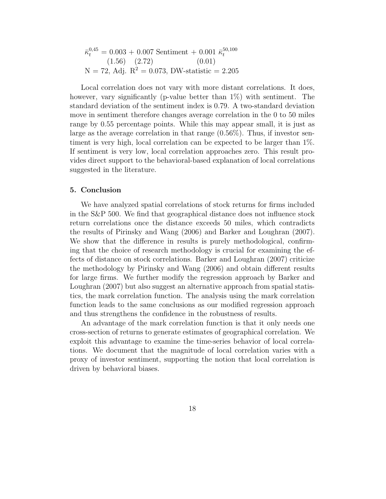$$
\bar{\kappa}_t^{0,45} = 0.003 + 0.007 \text{ Sentiment} + 0.001 \ \bar{\kappa}_t^{50,100}
$$
\n
$$
(1.56) \quad (2.72) \quad (0.01)
$$
\n
$$
N = 72, \text{Adj. } R^2 = 0.073, \text{ DW-statistic} = 2.205
$$

Local correlation does not vary with more distant correlations. It does, however, vary significantly (p-value better than  $1\%$ ) with sentiment. The standard deviation of the sentiment index is 0.79. A two-standard deviation move in sentiment therefore changes average correlation in the 0 to 50 miles range by 0.55 percentage points. While this may appear small, it is just as large as the average correlation in that range (0.56%). Thus, if investor sentiment is very high, local correlation can be expected to be larger than 1%. If sentiment is very low, local correlation approaches zero. This result provides direct support to the behavioral-based explanation of local correlations suggested in the literature.

#### 5. Conclusion

We have analyzed spatial correlations of stock returns for firms included in the S&P 500. We find that geographical distance does not influence stock return correlations once the distance exceeds 50 miles, which contradicts the results of Pirinsky and Wang (2006) and Barker and Loughran (2007). We show that the difference in results is purely methodological, confirming that the choice of research methodology is crucial for examining the effects of distance on stock correlations. Barker and Loughran (2007) criticize the methodology by Pirinsky and Wang (2006) and obtain different results for large firms. We further modify the regression approach by Barker and Loughran (2007) but also suggest an alternative approach from spatial statistics, the mark correlation function. The analysis using the mark correlation function leads to the same conclusions as our modified regression approach and thus strengthens the confidence in the robustness of results.

An advantage of the mark correlation function is that it only needs one cross-section of returns to generate estimates of geographical correlation. We exploit this advantage to examine the time-series behavior of local correlations. We document that the magnitude of local correlation varies with a proxy of investor sentiment, supporting the notion that local correlation is driven by behavioral biases.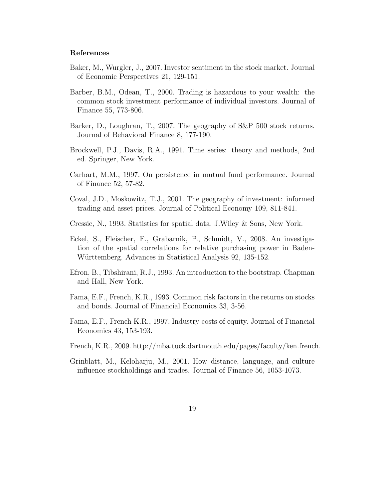#### References

- Baker, M., Wurgler, J., 2007. Investor sentiment in the stock market. Journal of Economic Perspectives 21, 129-151.
- Barber, B.M., Odean, T., 2000. Trading is hazardous to your wealth: the common stock investment performance of individual investors. Journal of Finance 55, 773-806.
- Barker, D., Loughran, T., 2007. The geography of S&P 500 stock returns. Journal of Behavioral Finance 8, 177-190.
- Brockwell, P.J., Davis, R.A., 1991. Time series: theory and methods, 2nd ed. Springer, New York.
- Carhart, M.M., 1997. On persistence in mutual fund performance. Journal of Finance 52, 57-82.
- Coval, J.D., Moskowitz, T.J., 2001. The geography of investment: informed trading and asset prices. Journal of Political Economy 109, 811-841.
- Cressie, N., 1993. Statistics for spatial data. J.Wiley & Sons, New York.
- Eckel, S., Fleischer, F., Grabarnik, P., Schmidt, V., 2008. An investigation of the spatial correlations for relative purchasing power in Baden-Württemberg. Advances in Statistical Analysis 92, 135-152.
- Efron, B., Tibshirani, R.J., 1993. An introduction to the bootstrap. Chapman and Hall, New York.
- Fama, E.F., French, K.R., 1993. Common risk factors in the returns on stocks and bonds. Journal of Financial Economics 33, 3-56.
- Fama, E.F., French K.R., 1997. Industry costs of equity. Journal of Financial Economics 43, 153-193.
- French, K.R., 2009. http://mba.tuck.dartmouth.edu/pages/faculty/ken.french.
- Grinblatt, M., Keloharju, M., 2001. How distance, language, and culture influence stockholdings and trades. Journal of Finance 56, 1053-1073.